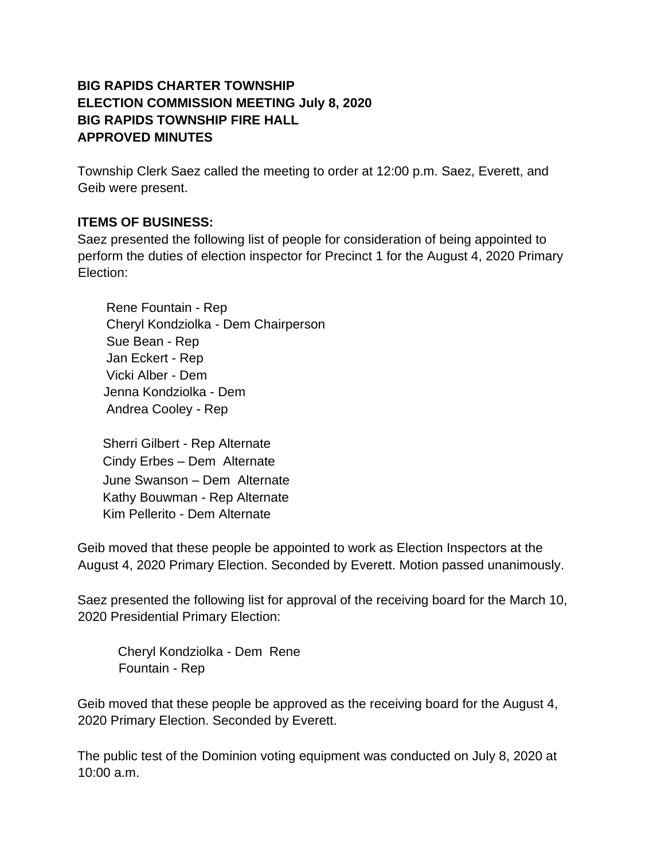## **BIG RAPIDS CHARTER TOWNSHIP ELECTION COMMISSION MEETING July 8, 2020 BIG RAPIDS TOWNSHIP FIRE HALL APPROVED MINUTES**

Township Clerk Saez called the meeting to order at 12:00 p.m. Saez, Everett, and Geib were present.

## **ITEMS OF BUSINESS:**

Saez presented the following list of people for consideration of being appointed to perform the duties of election inspector for Precinct 1 for the August 4, 2020 Primary Election:

 Rene Fountain - Rep Cheryl Kondziolka - Dem Chairperson Sue Bean - Rep Jan Eckert - Rep Vicki Alber - Dem Jenna Kondziolka - Dem Andrea Cooley - Rep

 Sherri Gilbert - Rep Alternate Cindy Erbes – Dem Alternate June Swanson – Dem Alternate Kathy Bouwman - Rep Alternate Kim Pellerito - Dem Alternate

Geib moved that these people be appointed to work as Election Inspectors at the August 4, 2020 Primary Election. Seconded by Everett. Motion passed unanimously.

Saez presented the following list for approval of the receiving board for the March 10, 2020 Presidential Primary Election:

Cheryl Kondziolka - Dem Rene Fountain - Rep

Geib moved that these people be approved as the receiving board for the August 4, 2020 Primary Election. Seconded by Everett.

The public test of the Dominion voting equipment was conducted on July 8, 2020 at 10:00 a.m.